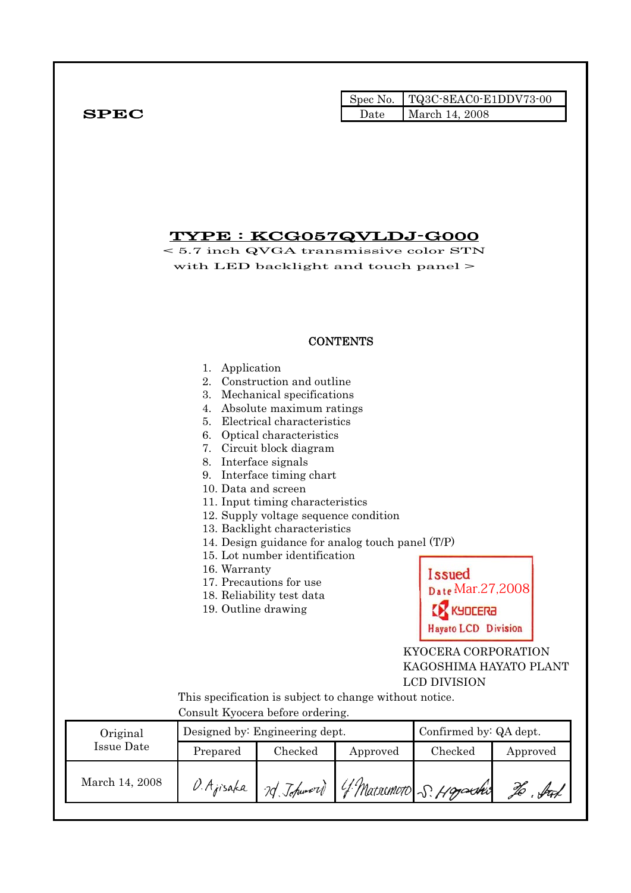|      |      | Spec No. TQ3C-8EAC0-E1DDV73-00 |
|------|------|--------------------------------|
| SPEC | Date | March 14, 2008                 |

## TYPE : KCG057QVLDJ-G000

< 5.7 inch QVGA transmissive color STN with LED backlight and touch panel >

|                               |                                                                                                                                             |                                                                                                                                                                                                                                                                                                                                                                                                                                       | <b>CONTENTS</b>                                                                                             |                                                                                                                                      |          |
|-------------------------------|---------------------------------------------------------------------------------------------------------------------------------------------|---------------------------------------------------------------------------------------------------------------------------------------------------------------------------------------------------------------------------------------------------------------------------------------------------------------------------------------------------------------------------------------------------------------------------------------|-------------------------------------------------------------------------------------------------------------|--------------------------------------------------------------------------------------------------------------------------------------|----------|
|                               | Application<br>1.<br>2.<br>7.<br>8.<br>9.<br>10. Data and screen<br>16. Warranty<br>19. Outline drawing<br>Consult Kyocera before ordering. | Construction and outline<br>3. Mechanical specifications<br>4. Absolute maximum ratings<br>5. Electrical characteristics<br>6. Optical characteristics<br>Circuit block diagram<br>Interface signals<br>Interface timing chart<br>11. Input timing characteristics<br>12. Supply voltage sequence condition<br>13. Backlight characteristics<br>15. Lot number identification<br>17. Precautions for use<br>18. Reliability test data | 14. Design guidance for analog touch panel (T/P)<br>This specification is subject to change without notice. | Issued<br>Date Mar.27,2008<br>KYOCERƏ<br><b>Hayato LCD Division</b><br>KYOCERA CORPORATION<br>KAGOSHIMA HAYATO PLANT<br>LCD DIVISION |          |
| Original<br><b>Issue Date</b> |                                                                                                                                             | Designed by: Engineering dept.                                                                                                                                                                                                                                                                                                                                                                                                        |                                                                                                             | Confirmed by: QA dept.                                                                                                               |          |
|                               | Prepared                                                                                                                                    | Checked                                                                                                                                                                                                                                                                                                                                                                                                                               | Approved                                                                                                    | Checked                                                                                                                              | Approved |
| March 14, 2008                |                                                                                                                                             |                                                                                                                                                                                                                                                                                                                                                                                                                                       | O. Ajisaka 7d Johnson) 4 Marsonoto S. Hopechi                                                               |                                                                                                                                      |          |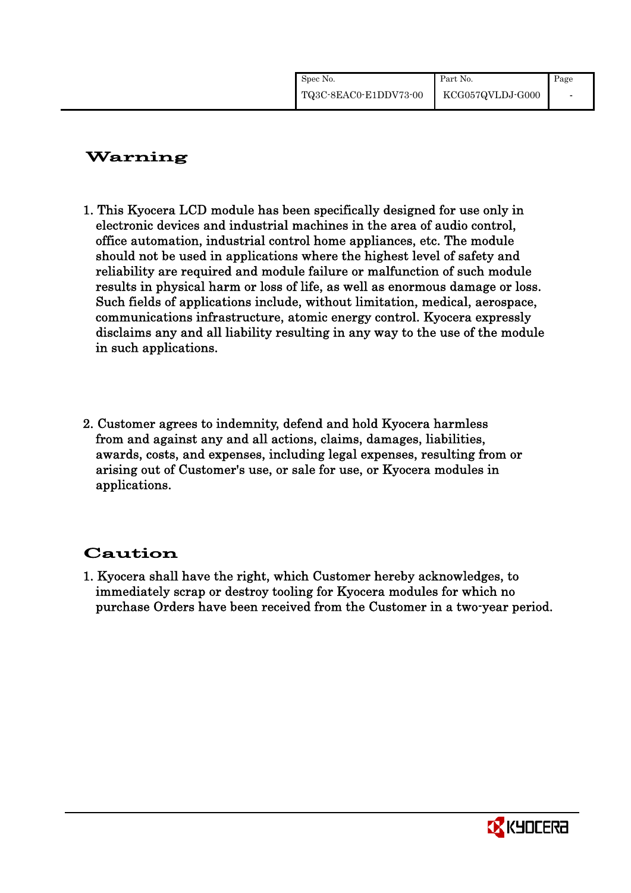| Spec No.              | Part No.         | Page                     |
|-----------------------|------------------|--------------------------|
| TQ3C-8EAC0-E1DDV73-00 | KCG057QVLDJ-G000 | $\overline{\phantom{0}}$ |

## Warning

- 1. This Kyocera LCD module has been specifically designed for use only in electronic devices and industrial machines in the area of audio control, office automation, industrial control home appliances, etc. The module should not be used in applications where the highest level of safety and reliability are required and module failure or malfunction of such module results in physical harm or loss of life, as well as enormous damage or loss. Such fields of applications include, without limitation, medical, aerospace, communications infrastructure, atomic energy control. Kyocera expressly disclaims any and all liability resulting in any way to the use of the module in such applications.
- 2. Customer agrees to indemnity, defend and hold Kyocera harmless from and against any and all actions, claims, damages, liabilities, awards, costs, and expenses, including legal expenses, resulting from or arising out of Customer's use, or sale for use, or Kyocera modules in applications.

## Caution

1. Kyocera shall have the right, which Customer hereby acknowledges, to immediately scrap or destroy tooling for Kyocera modules for which no purchase Orders have been received from the Customer in a two-year period.

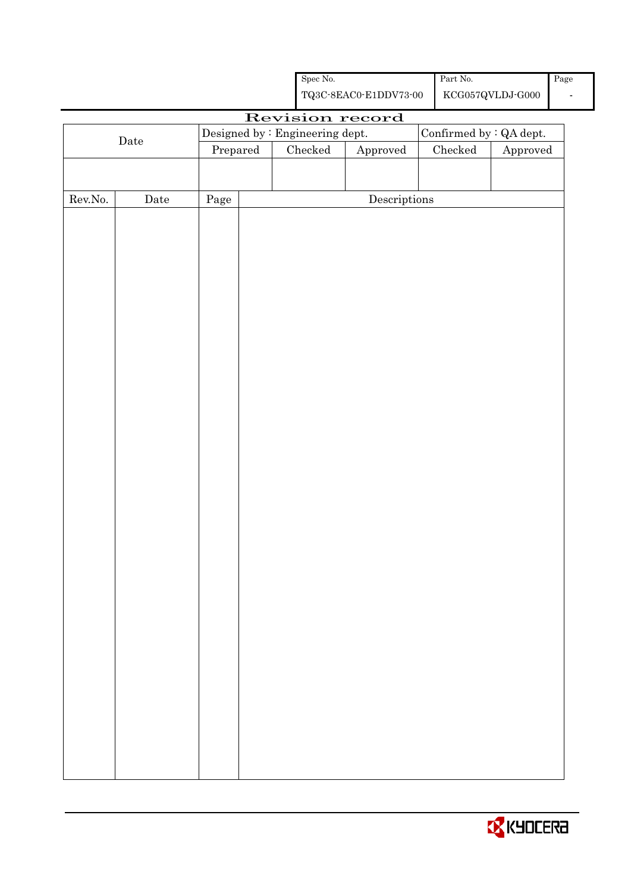|         |             |                                 |                                                    | ${\rm Spec}$ No. |                                      |  | Part No.                        |          | Page |
|---------|-------------|---------------------------------|----------------------------------------------------|------------------|--------------------------------------|--|---------------------------------|----------|------|
|         |             |                                 | ${\bf TQ3C\text{-}8EAC0\text{-}E1DDV73\text{-}00}$ |                  |                                      |  | ${\rm KCG057QVLDJ\text{-}G000}$ |          |      |
|         |             |                                 |                                                    |                  | Revision record                      |  |                                 |          |      |
|         |             | Designed by : Engineering dept. |                                                    |                  |                                      |  | Confirmed by : QA dept.         |          |      |
|         | $\rm{Date}$ | Prepared                        |                                                    | ${\it Checked}$  | Approved                             |  | Checked                         | Approved |      |
|         |             |                                 |                                                    |                  |                                      |  |                                 |          |      |
|         |             |                                 |                                                    |                  |                                      |  |                                 |          |      |
| Rev.No. | Date        | Page                            |                                                    |                  | $\label{eq:2} \textbf{Descriptions}$ |  |                                 |          |      |
|         |             |                                 |                                                    |                  |                                      |  |                                 |          |      |
|         |             |                                 |                                                    |                  |                                      |  |                                 |          |      |
|         |             |                                 |                                                    |                  |                                      |  |                                 |          |      |
|         |             |                                 |                                                    |                  |                                      |  |                                 |          |      |
|         |             |                                 |                                                    |                  |                                      |  |                                 |          |      |
|         |             |                                 |                                                    |                  |                                      |  |                                 |          |      |
|         |             |                                 |                                                    |                  |                                      |  |                                 |          |      |
|         |             |                                 |                                                    |                  |                                      |  |                                 |          |      |
|         |             |                                 |                                                    |                  |                                      |  |                                 |          |      |
|         |             |                                 |                                                    |                  |                                      |  |                                 |          |      |
|         |             |                                 |                                                    |                  |                                      |  |                                 |          |      |
|         |             |                                 |                                                    |                  |                                      |  |                                 |          |      |
|         |             |                                 |                                                    |                  |                                      |  |                                 |          |      |
|         |             |                                 |                                                    |                  |                                      |  |                                 |          |      |
|         |             |                                 |                                                    |                  |                                      |  |                                 |          |      |
|         |             |                                 |                                                    |                  |                                      |  |                                 |          |      |
|         |             |                                 |                                                    |                  |                                      |  |                                 |          |      |
|         |             |                                 |                                                    |                  |                                      |  |                                 |          |      |
|         |             |                                 |                                                    |                  |                                      |  |                                 |          |      |
|         |             |                                 |                                                    |                  |                                      |  |                                 |          |      |
|         |             |                                 |                                                    |                  |                                      |  |                                 |          |      |
|         |             |                                 |                                                    |                  |                                      |  |                                 |          |      |
|         |             |                                 |                                                    |                  |                                      |  |                                 |          |      |
|         |             |                                 |                                                    |                  |                                      |  |                                 |          |      |
|         |             |                                 |                                                    |                  |                                      |  |                                 |          |      |
|         |             |                                 |                                                    |                  |                                      |  |                                 |          |      |
|         |             |                                 |                                                    |                  |                                      |  |                                 |          |      |
|         |             |                                 |                                                    |                  |                                      |  |                                 |          |      |
|         |             |                                 |                                                    |                  |                                      |  |                                 |          |      |
|         |             |                                 |                                                    |                  |                                      |  |                                 |          |      |
|         |             |                                 |                                                    |                  |                                      |  |                                 |          |      |
|         |             |                                 |                                                    |                  |                                      |  |                                 |          |      |
|         |             |                                 |                                                    |                  |                                      |  |                                 |          |      |
|         |             |                                 |                                                    |                  |                                      |  |                                 |          |      |
|         |             |                                 |                                                    |                  |                                      |  |                                 |          |      |

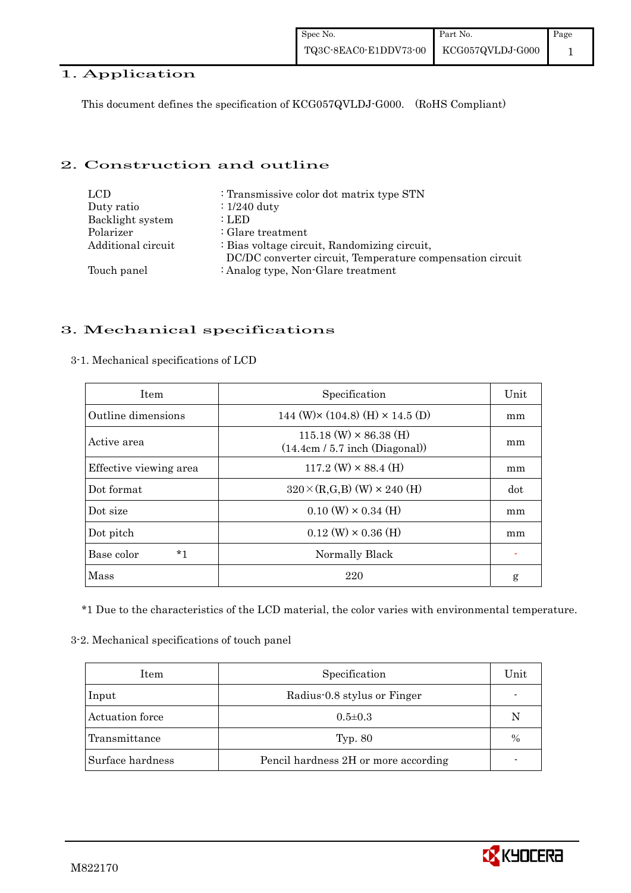## 1. Application

This document defines the specification of KCG057QVLDJ-G000. (RoHS Compliant)

## 2. Construction and outline

| LCD.               | : Transmissive color dot matrix type STN                                                                  |
|--------------------|-----------------------------------------------------------------------------------------------------------|
| Duty ratio         | $\div 1/240$ duty                                                                                         |
| Backlight system   | : LED                                                                                                     |
| Polarizer          | $:$ Glare treatment                                                                                       |
| Additional circuit | : Bias voltage circuit, Randomizing circuit,<br>DC/DC converter circuit, Temperature compensation circuit |
| Touch panel        | : Analog type, Non-Glare treatment                                                                        |

## 3. Mechanical specifications

| <b>Item</b>            | Specification                                                     | Unit |
|------------------------|-------------------------------------------------------------------|------|
| Outline dimensions     | 144 (W) $\times$ (104.8) (H) $\times$ 14.5 (D)                    | mm   |
| Active area            | $115.18$ (W) $\times$ 86.38 (H)<br>(14.4cm / 5.7 inch (Diagonal)) | mm   |
| Effective viewing area | $117.2$ (W) $\times$ 88.4 (H)                                     | mm   |
| Dot format             | $320 \times (R,G,B)$ (W) $\times$ 240 (H)                         | dot  |
| Dot size               | $0.10 \text{ (W)} \times 0.34 \text{ (H)}$                        | mm   |
| Dot pitch              | $0.12 \text{ (W)} \times 0.36 \text{ (H)}$                        | mm   |
| Base color<br>*1       | Normally Black                                                    |      |
| Mass                   | 220                                                               | g    |

#### 3-1. Mechanical specifications of LCD

\*1 Due to the characteristics of the LCD material, the color varies with environmental temperature.

#### 3-2. Mechanical specifications of touch panel

| Item             | Specification                        | Unit |
|------------------|--------------------------------------|------|
| Input            | Radius-0.8 stylus or Finger          |      |
| Actuation force  | $0.5 \pm 0.3$                        | N    |
| Transmittance    | Typ. 80                              | $\%$ |
| Surface hardness | Pencil hardness 2H or more according |      |

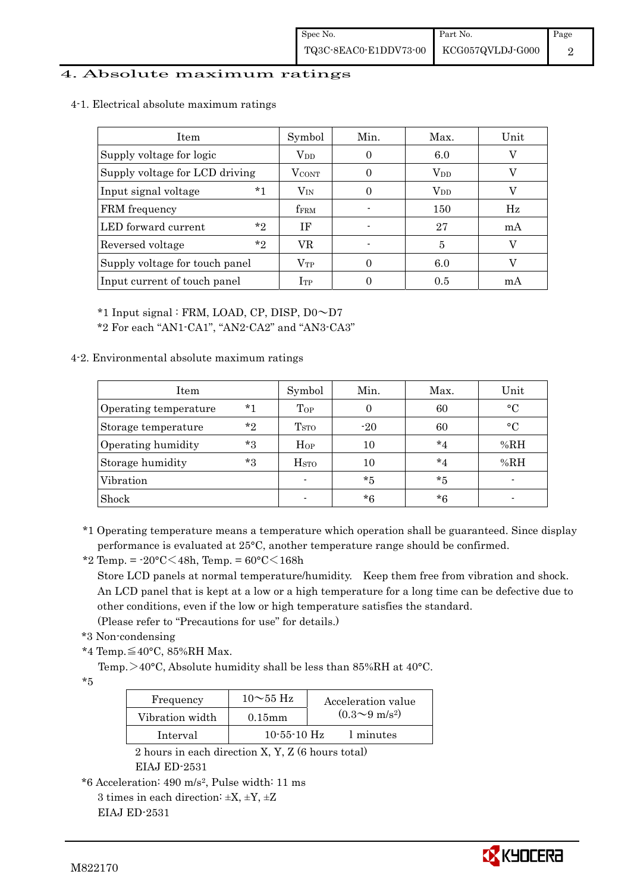## 4. Absolute maximum ratings

4-1. Electrical absolute maximum ratings

| Item                           | Symbol            | Min. | Max.         | Unit |
|--------------------------------|-------------------|------|--------------|------|
| Supply voltage for logic       | $V_{DD}$          |      | 6.0          |      |
| Supply voltage for LCD driving | $V_{\text{CONT}}$ |      | $\rm V_{DD}$ |      |
| $*1$<br>Input signal voltage   | $\rm V_{\rm IN}$  |      | $\rm V_{DD}$ |      |
| FRM frequency                  | <b>fFRM</b>       |      | 150          | Hz   |
| $*_{2}$<br>LED forward current | ΙF                |      | 27           | mA   |
| $*_{2}$<br>Reversed voltage    | VR                |      | 5            |      |
| Supply voltage for touch panel | $\rm V_{TP}$      |      | 6.0          |      |
| Input current of touch panel   | $I_{TP}$          |      | 0.5          | mA   |

\*1 Input signal : FRM, LOAD, CP, DISP, D0~D7

\*2 For each "AN1-CA1", "AN2-CA2" and "AN3-CA3"

## 4-2. Environmental absolute maximum ratings

| Item                  |         | Symbol           | Min.  | Max.    | Unit        |
|-----------------------|---------|------------------|-------|---------|-------------|
| Operating temperature | $*1$    | Top              |       | 60      | $^{\circ}C$ |
| Storage temperature   | $*_{2}$ | T <sub>STO</sub> | $-20$ | 60      | $^{\circ}C$ |
| Operating humidity    | $*_{3}$ | Hop              | 10    | $*_{4}$ | %RH         |
| Storage humidity      | $*3$    | H <sub>STO</sub> |       | $*_{4}$ | %RH         |
| Vibration             |         | $\blacksquare$   | *5    | *5      |             |
| Shock                 |         |                  | $*6$  | *6      |             |

\*1 Operating temperature means a temperature which operation shall be guaranteed. Since display performance is evaluated at 25°C, another temperature range should be confirmed.

\*2 Temp. = -20°C<48h, Temp. = 60°C<168h

 Store LCD panels at normal temperature/humidity. Keep them free from vibration and shock. An LCD panel that is kept at a low or a high temperature for a long time can be defective due to other conditions, even if the low or high temperature satisfies the standard.

(Please refer to "Precautions for use" for details.)

```
 *3 Non-condensing
```
\*4 Temp. $\leq$ 40°C, 85%RH Max.

Temp. >40°C, Absolute humidity shall be less than 85%RH at 40°C.

\*5

| Frequency       | $10\sim$ 55 Hz | Acceleration value           |
|-----------------|----------------|------------------------------|
| Vibration width | $0.15$ mm      | $(0.3 \sim 9 \text{ m/s}^2)$ |
| Interval        | $10-55-10$ Hz  | 1 minutes                    |

 2 hours in each direction X, Y, Z (6 hours total) EIAJ ED-2531

```
3 times in each direction: \pm X, \pm Y, \pm Z
```
EIAJ ED-2531



<sup>\*6</sup> Acceleration: 490 m/s2, Pulse width: 11 ms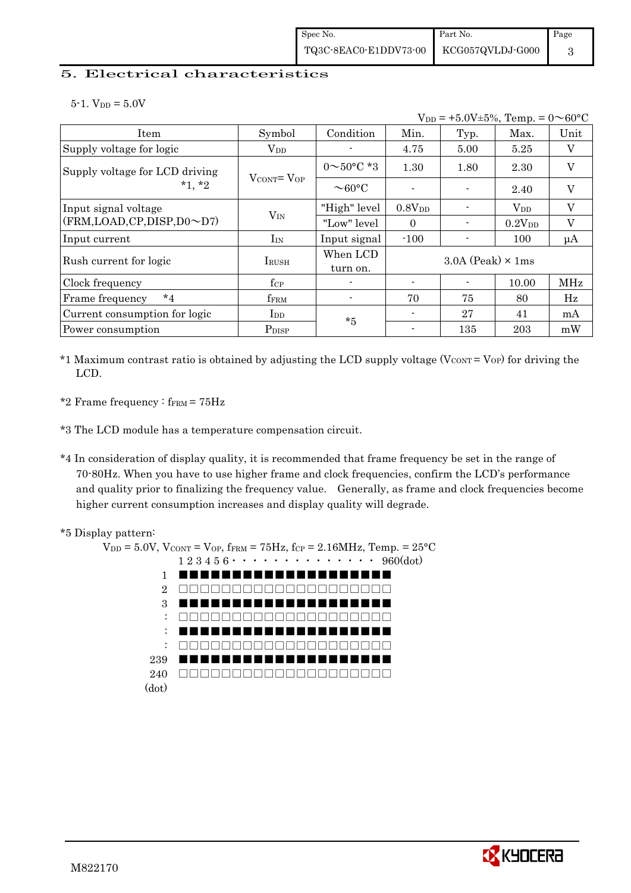## 5. Electrical characteristics

 $5-1.$  V<sub>DD</sub> =  $5.0V$ 

|                                            | $V_{DD}$ = +5.0V±5%, Temp. = 0 $\sim$ 60°C |                          |                    |                            |             |                         |  |
|--------------------------------------------|--------------------------------------------|--------------------------|--------------------|----------------------------|-------------|-------------------------|--|
| Item                                       | Symbol                                     | Condition                | Min.               | Typ.                       | Max.        | Unit                    |  |
| Supply voltage for logic                   | $\rm V_{DD}$                               |                          | 4.75               | 5.00                       | 5.25        | V                       |  |
| Supply voltage for LCD driving<br>$*1, *2$ | $V_{\text{CONT}} = V_{\text{OP}}$          | $0 \sim 50^{\circ}$ C *3 | 1.30               | 1.80                       | 2.30        | $\mathbf{V}$            |  |
|                                            |                                            | $\sim$ 60°C              |                    |                            | 2.40        | V                       |  |
| Input signal voltage                       |                                            | "High" level             | 0.8V <sub>DD</sub> |                            | $V_{DD}$    | $\mathbf{V}$            |  |
| (FRM,LOAD,CP,DISP,D0~D7)                   | $V_{IN}$                                   | "Low" level              | $\theta$           |                            | $0.2V_{DD}$ | $\overline{\mathrm{V}}$ |  |
| Input current                              | $I_{IN}$                                   | Input signal             | $-100$             |                            | 100         | $\mu A$                 |  |
|                                            |                                            | When LCD                 |                    | $3.0A$ (Peak) $\times$ 1ms |             |                         |  |
| Rush current for logic                     | <b>IRUSH</b>                               | turn on.                 |                    |                            |             |                         |  |
| Clock frequency                            | $f_{\rm CP}$                               | $\blacksquare$           | $\blacksquare$     |                            | 10.00       | MHz                     |  |
| $*_{4}$<br>Frame frequency                 | $f_{\rm FRM}$                              |                          | 70                 | 75                         | 80          | $_{\rm Hz}$             |  |
| Current consumption for logic              | I <sub>DD</sub>                            | $*5$                     | ۰                  | 27                         | 41          | mA                      |  |
| Power consumption                          | P <sub>DISP</sub>                          |                          |                    | 135                        | 203         | mW                      |  |

\*1 Maximum contrast ratio is obtained by adjusting the LCD supply voltage ( $V_{\text{CONT}} = V_{\text{OP}}$ ) for driving the LCD.

\*2 Frame frequency :  $f_{\text{FRM}} = 75 \text{Hz}$ 

\*3 The LCD module has a temperature compensation circuit.

\*4 In consideration of display quality, it is recommended that frame frequency be set in the range of 70-80Hz. When you have to use higher frame and clock frequencies, confirm the LCD's performance and quality prior to finalizing the frequency value. Generally, as frame and clock frequencies become higher current consumption increases and display quality will degrade.





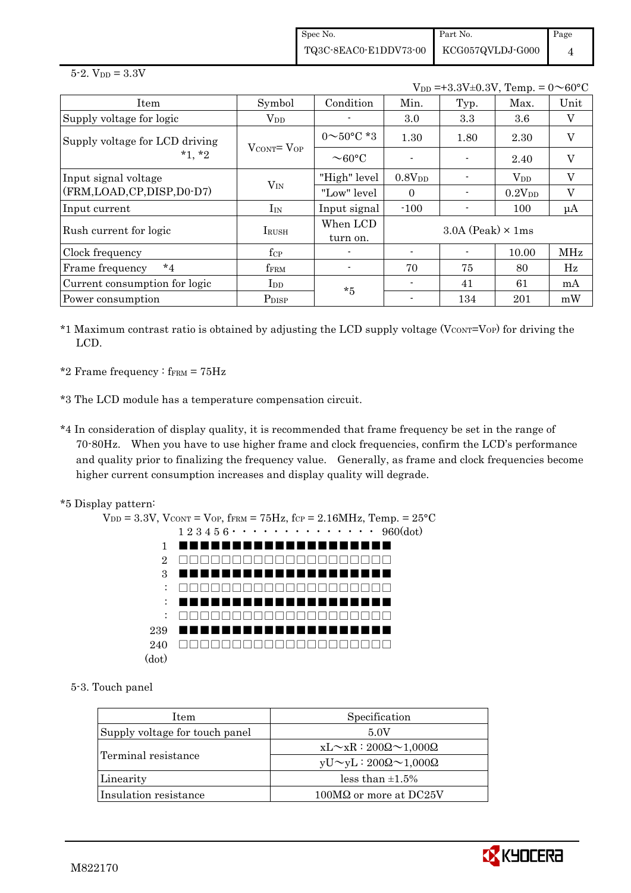Spec No. TQ3C-8EAC0-E1DDV73-00 Part No. KCG057QVLDJ-G000 Page 4

 $5 - 2.$  V<sub>DD</sub> =  $3.3V$ 

 $V_{DD} = +3.3V \pm 0.3V$ , Temp. =  $0 \sim 60^{\circ}$ C

| Item                           | Symbol                            | Condition                | Min.        | Typ.                       | Max.               | Unit    |
|--------------------------------|-----------------------------------|--------------------------|-------------|----------------------------|--------------------|---------|
| Supply voltage for logic       | $\rm V_{DD}$                      |                          | 3.0         | 3.3                        | 3.6                | V       |
| Supply voltage for LCD driving |                                   | $0 \sim 50^{\circ}$ C *3 | 1.30        | 1.80                       | 2.30               | $\rm V$ |
| $*1, *2$                       | $V_{\text{CONT}} = V_{\text{OP}}$ | $\sim$ 60°C              |             |                            | 2.40               | V       |
| Input signal voltage           |                                   | "High" level             | $0.8V_{DD}$ |                            | $\rm V_{DD}$       | $\rm V$ |
| (FRM,LOAD,CP,DISP,D0-D7)       | $V_{IN}$                          | "Low" level              | $\Omega$    |                            | 0.2V <sub>DD</sub> | V       |
| Input current                  | $I_{IN}$                          | Input signal             | $-100$      |                            | 100                | $\mu A$ |
| Rush current for logic         | <b>I</b> RUSH                     | When LCD<br>turn on.     |             | $3.0A$ (Peak) $\times$ 1ms |                    |         |
| Clock frequency                | $f_{\rm CP}$                      |                          |             |                            | 10.00              | MHz     |
| $*_{4}$<br>Frame frequency     | fFRM                              |                          | 70          | 75                         | 80                 | Hz      |
| Current consumption for logic  | $_{\rm{LDD}}$                     | $*5$                     |             | 41                         | 61                 | mA      |
| Power consumption              | P <sub>DISP</sub>                 |                          |             | 134                        | 201                | mW      |

 $*1$  Maximum contrast ratio is obtained by adjusting the LCD supply voltage (V $_{\text{CONT}}$ =V<sub>OP</sub>) for driving the LCD.

\*2 Frame frequency :  $f_{\text{FRM}} = 75 \text{Hz}$ 

\*3 The LCD module has a temperature compensation circuit.

- \*4 In consideration of display quality, it is recommended that frame frequency be set in the range of 70-80Hz. When you have to use higher frame and clock frequencies, confirm the LCD's performance and quality prior to finalizing the frequency value. Generally, as frame and clock frequencies become higher current consumption increases and display quality will degrade.
- \*5 Display pattern:



5-3. Touch panel

| <b>Item</b>                    | Specification                             |  |  |
|--------------------------------|-------------------------------------------|--|--|
| Supply voltage for touch panel | 5.0V                                      |  |  |
|                                | $xL \sim xR : 200\Omega \sim 1,000\Omega$ |  |  |
| Terminal resistance            | $yU \sim yL : 200\Omega \sim 1,000\Omega$ |  |  |
| Linearity                      | less than $\pm 1.5\%$                     |  |  |
| Insulation resistance          | $100\text{M}\Omega$ or more at DC25V      |  |  |

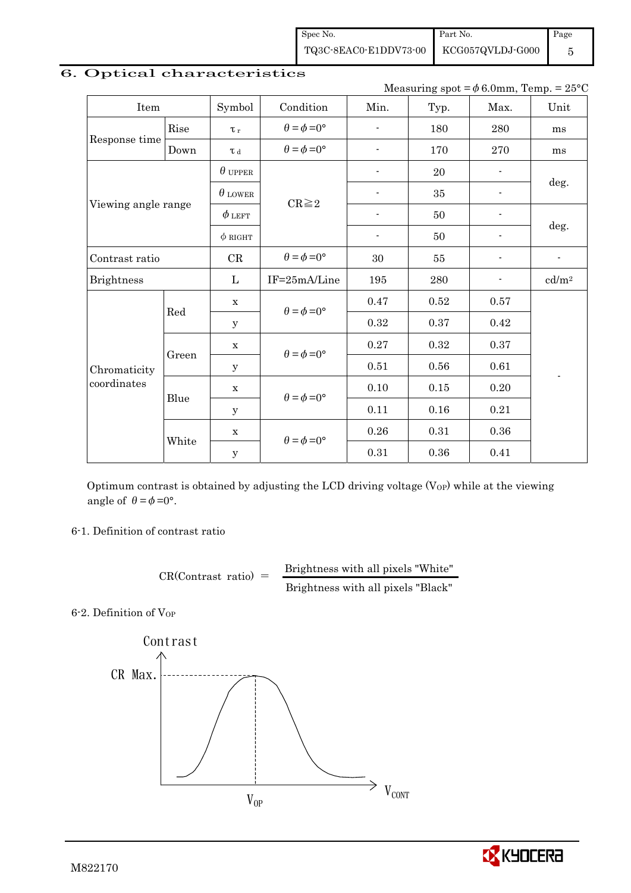Spec No. TQ3C-8EAC0-E1DDV73-00 Part No. KCG057QVLDJ-G000 Page 5

| $m$ easuring spot $-\varphi$ o.omin, Temp. $-\angle 5$ |       |                |                             |                          |            |                          |                          |  |
|--------------------------------------------------------|-------|----------------|-----------------------------|--------------------------|------------|--------------------------|--------------------------|--|
| Item                                                   |       | Symbol         | Condition                   | Min.                     | Typ.       | Max.                     | Unit                     |  |
|                                                        | Rise  | $\tau_r$       | $\theta = \phi = 0^{\circ}$ |                          | 180        | 280                      | ms                       |  |
| Response time                                          | Down  | $\tau$ d       | $\theta = \phi = 0^{\circ}$ |                          | 170        | 270                      | ms                       |  |
|                                                        |       | $\theta$ upper |                             |                          | 20         |                          |                          |  |
|                                                        |       | $\theta$ lower |                             | $\overline{\phantom{a}}$ | 35         | $\overline{\phantom{a}}$ | deg.                     |  |
| Viewing angle range                                    |       | $\phi$ left    | $CR \geq 2$                 |                          | 50         |                          |                          |  |
|                                                        |       | $\phi$ RIGHT   |                             | $\overline{\phantom{a}}$ | 50         |                          | deg.                     |  |
| Contrast ratio                                         |       | CR             | $\theta = \phi = 0^{\circ}$ | 30                       | 55         | -                        | $\overline{\phantom{a}}$ |  |
| <b>Brightness</b>                                      |       | $\mathbf{L}$   | IF=25mA/Line                | 195                      | 280        |                          | cd/m <sup>2</sup>        |  |
|                                                        | Red   | $\mathbf X$    | $\theta = \phi = 0^{\circ}$ | 0.47                     | 0.52       | 0.57                     |                          |  |
|                                                        |       | $\mathbf{y}$   |                             | 0.32                     | 0.37       | 0.42                     |                          |  |
|                                                        |       | $\mathbf X$    |                             | 0.27                     | 0.32       | 0.37                     |                          |  |
| Chromaticity                                           | Green | $\mathbf y$    | $\theta = \phi = 0^{\circ}$ | 0.51                     | 0.56       | 0.61                     |                          |  |
| coordinates                                            |       | $\mathbf X$    | $\theta = \phi = 0^{\circ}$ | $0.10\,$                 | 0.15       | 0.20                     |                          |  |
|                                                        | Blue  | $\mathbf y$    |                             | 0.11                     | 0.16       | 0.21                     |                          |  |
|                                                        |       | $\mathbf X$    | $\theta = \phi = 0^{\circ}$ | $0.26\,$                 | $\rm 0.31$ | $0.36\,$                 |                          |  |
|                                                        | White | $\mathbf y$    |                             | 0.31                     | 0.36       | 0.41                     |                          |  |

## 6. Optical characteristics

Measuring spot  $= \phi_6 0$ mm, Temp. = 25°C.

Optimum contrast is obtained by adjusting the LCD driving voltage  $(V<sub>OP</sub>)$  while at the viewing angle of  $\theta = \phi = 0^{\circ}$ .

6-1. Definition of contrast ratio

 $CR(Contrast ratio) =$  Brightness with all pixels "White" Brightness with all pixels "Black"

6-2. Definition of VOP



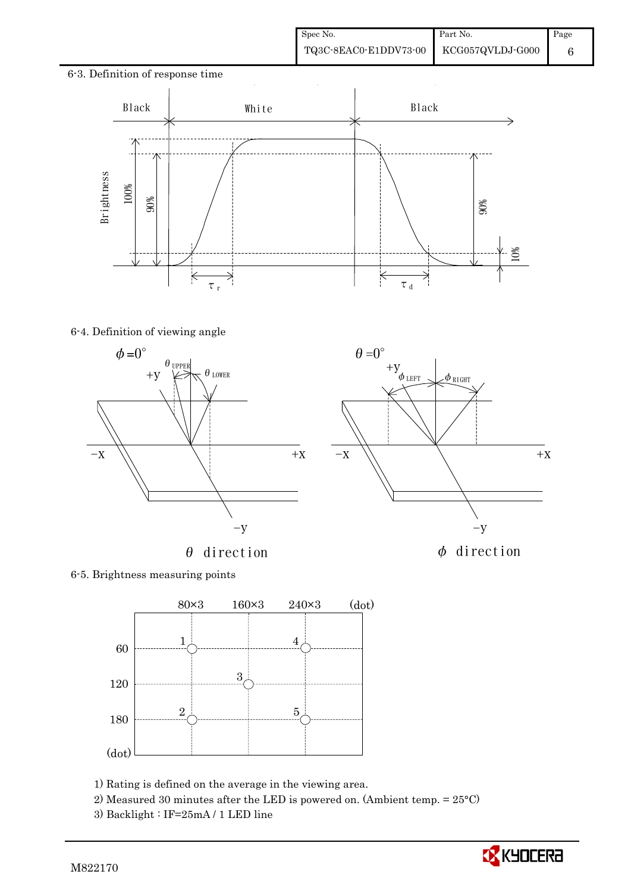# 6-3. Definition of response time Black | White | Black 90% 10%  $\overline{\mathbf{K}}$ ₹  $\frac{1}{\tau}$ <sub>r</sub>  $\tau$ <sub>d</sub>

## 6-4. Definition of viewing angle





 $\theta=0^\circ$ 

6-5. Brightness measuring points



1) Rating is defined on the average in the viewing area.

2) Measured 30 minutes after the LED is powered on. (Ambient temp. = 25°C)

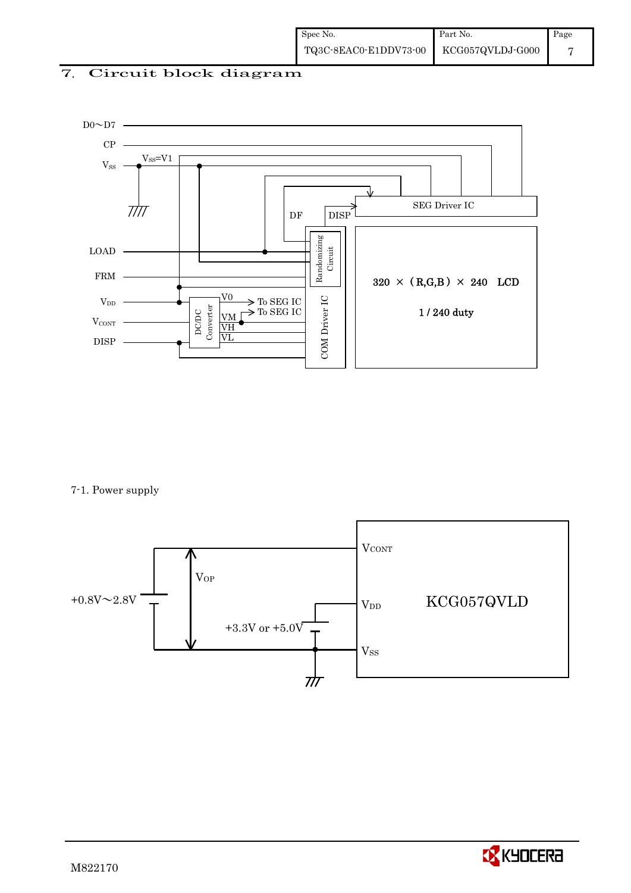## 7. Circuit block diagram



7-1. Power supply



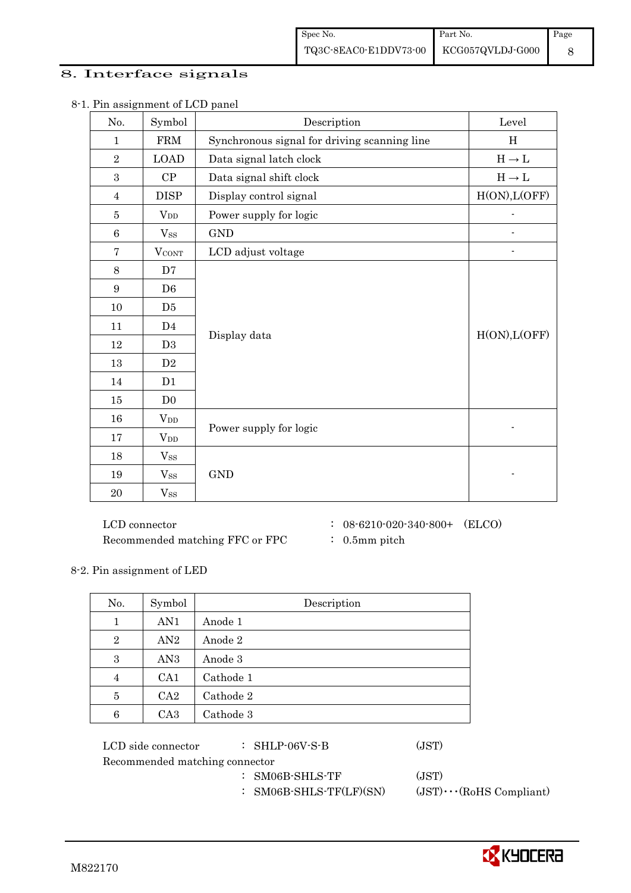## 8. Interface signals

| No.              | Symbol                 | Description                                  | Level                             |
|------------------|------------------------|----------------------------------------------|-----------------------------------|
| $\mathbf{1}$     | <b>FRM</b>             | Synchronous signal for driving scanning line | H                                 |
| $\overline{2}$   | <b>LOAD</b>            | Data signal latch clock                      | $\mathrm{H}\rightarrow\mathrm{L}$ |
| 3                | CP                     | Data signal shift clock                      | $H\to L$                          |
| $\overline{4}$   | <b>DISP</b>            | Display control signal                       | H(ON), L(OFF)                     |
| 5                | <b>V</b> <sub>DD</sub> | Power supply for logic                       |                                   |
| 6                | $V_{SS}$               | <b>GND</b>                                   |                                   |
| $\overline{7}$   | <b>VCONT</b>           | LCD adjust voltage                           |                                   |
| $8\,$            | D7                     |                                              |                                   |
| $\boldsymbol{9}$ | D <sub>6</sub>         |                                              |                                   |
| 10               | D <sub>5</sub>         |                                              |                                   |
| 11               | D <sub>4</sub>         |                                              |                                   |
| 12               | D <sub>3</sub>         | Display data                                 | H(ON), L(OFF)                     |
| 13               | D2                     |                                              |                                   |
| 14               | D1                     |                                              |                                   |
| 15               | D <sub>0</sub>         |                                              |                                   |
| 16               | <b>V</b> <sub>DD</sub> |                                              |                                   |
| 17               | $V_{DD}$               | Power supply for logic                       |                                   |
| 18               | $V_{SS}$               |                                              |                                   |
| 19               | $V_{SS}$               | <b>GND</b>                                   |                                   |
| 20               | $V_{SS}$               |                                              |                                   |

8-1. Pin assignment of LCD panel

Recommended matching FFC or FPC : 0.5mm pitch

 ${\rm LCD~connector} ~~:~ 08\text{-}6210\text{-}020\text{-}340\text{-}800 + ~~({\rm ELCO})$ 

8-2. Pin assignment of LED

| No.            | Symbol          | Description |  |  |  |
|----------------|-----------------|-------------|--|--|--|
| 1              | AN1             | Anode 1     |  |  |  |
| $\overline{2}$ | AN2             | Anode 2     |  |  |  |
| 3              | AN <sub>3</sub> | Anode 3     |  |  |  |
| $\overline{4}$ | CA <sub>1</sub> | Cathode 1   |  |  |  |
| 5              | CA <sub>2</sub> | Cathode 2   |  |  |  |
| 6              | CA <sub>3</sub> | Cathode 3   |  |  |  |

| LCD side connector             | $\therefore$ SHLP-06V-S-B  | (JST)                          |
|--------------------------------|----------------------------|--------------------------------|
| Recommended matching connector |                            |                                |
|                                | $:$ SM06B-SHLS-TF          | (JST)                          |
|                                | : SM06B-SHLS-TF $(LF)(SN)$ | $(JST)\cdots (RoHS Compliant)$ |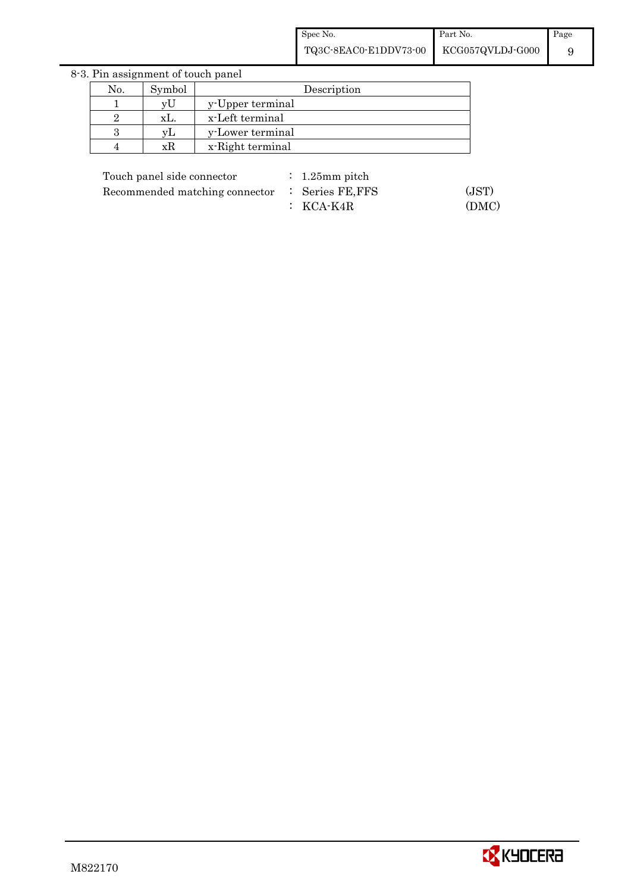8-3. Pin assignment of touch panel

| No. | Symbol      | Description      |
|-----|-------------|------------------|
|     | vt          | y-Upper terminal |
|     | XL.         | x-Left terminal  |
|     | $V_{\perp}$ | y-Lower terminal |
|     | хK          | x-Right terminal |

| Touch panel side connector |  |  |
|----------------------------|--|--|
|----------------------------|--|--|

Recommended matching connector : Series FE, FFS (JST)

 $: 1.25$ mm pitch : KCA-K4R (DMC)

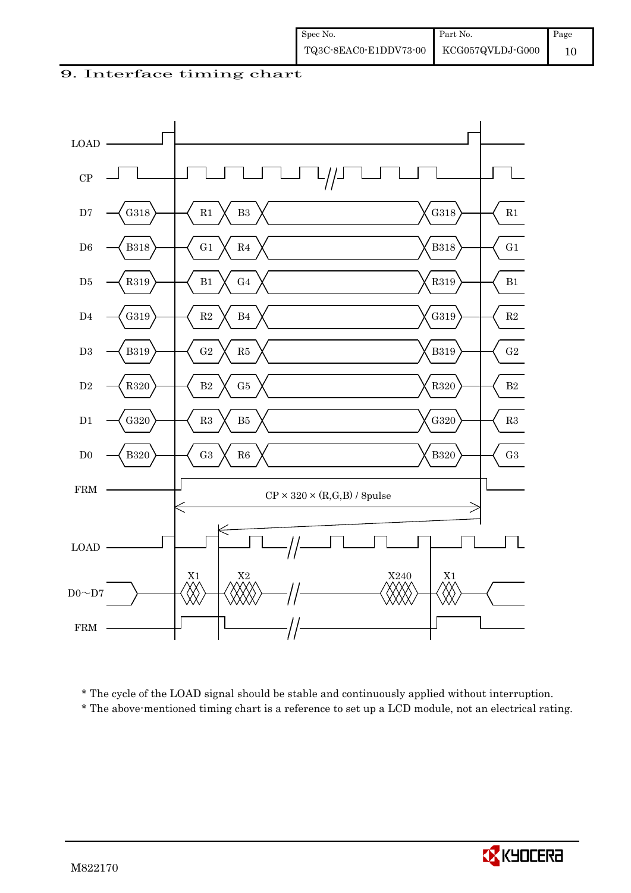9. Interface timing chart



\* The cycle of the LOAD signal should be stable and continuously applied without interruption.

\* The above-mentioned timing chart is a reference to set up a LCD module, not an electrical rating.

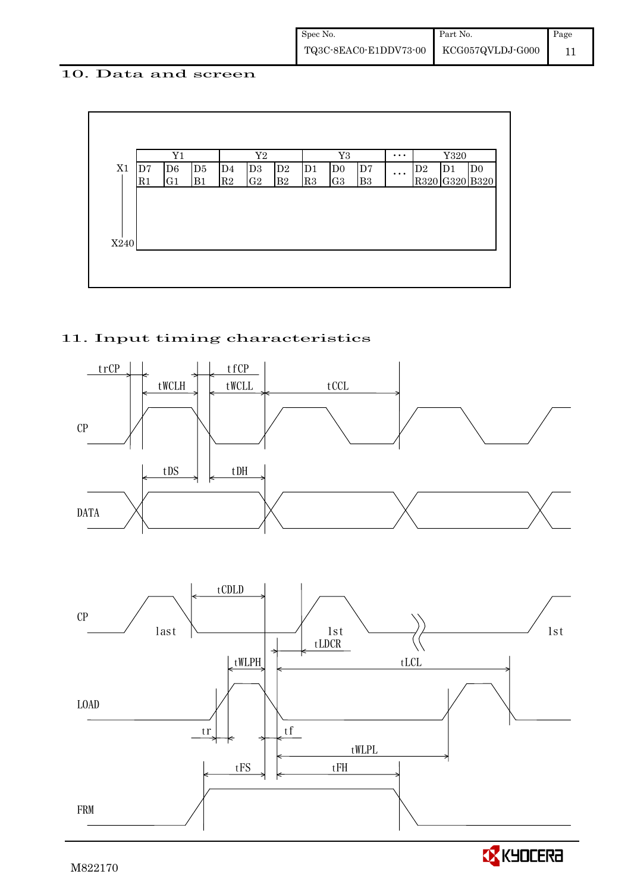## 10. Data and screen



## 11. Input timing characteristics





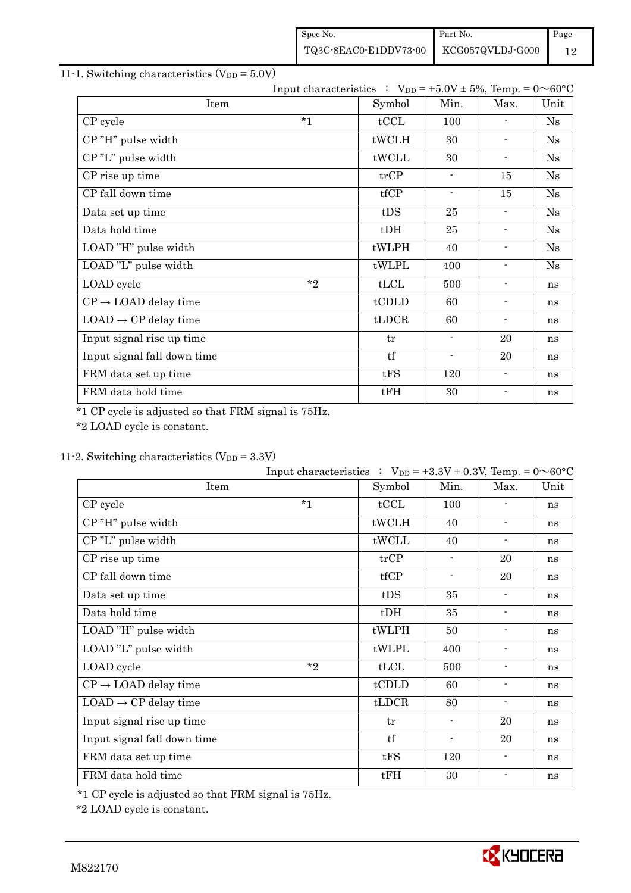| Spec No.                                                                                                       | Part No. | Page |
|----------------------------------------------------------------------------------------------------------------|----------|------|
| $\left. {\rm TQ3C\text{-}SEAC0\text{-}E1DDV73\text{-}00} \right  \left. {\rm KCG057QVLDJ\text{-}G000} \right.$ |          | 12   |

## 11-1. Switching characteristics  $(V_{DD} = 5.0V)$

|                                  |         | Input characteristics : $V_{DD} = +5.0V \pm 5\%$ , Temp. = $0 \sim 60^{\circ}C$ |                          |                          |      |
|----------------------------------|---------|---------------------------------------------------------------------------------|--------------------------|--------------------------|------|
| Item                             |         | Symbol                                                                          | Min.                     | Max.                     | Unit |
| CP cycle                         | $*_{1}$ | tCCL                                                                            | 100                      |                          | Ns   |
| CP"H" pulse width                |         | tWCLH                                                                           | 30                       | $\blacksquare$           | Ns   |
| CP"L" pulse width                |         | tWCLL                                                                           | 30                       | $\blacksquare$           | Ns   |
| CP rise up time                  |         | trCP                                                                            | $\blacksquare$           | 15                       | Ns   |
| CP fall down time                |         | tfCP                                                                            | $\blacksquare$           | 15                       | Ns   |
| Data set up time                 |         | tDS                                                                             | 25                       | $\overline{\phantom{a}}$ | Ns   |
| Data hold time                   |         | $t$ DH                                                                          | 25                       | $\blacksquare$           | Ns   |
| LOAD "H" pulse width             |         | tWLPH                                                                           | 40                       | $\overline{\phantom{a}}$ | Ns   |
| LOAD "L" pulse width             |         | tWLPL                                                                           | 400                      | $\overline{\phantom{a}}$ | Ns   |
| LOAD cycle                       | $*$ ?   | tLCL                                                                            | 500                      | $\blacksquare$           | ns   |
| $CP \rightarrow$ LOAD delay time |         | tCDLD                                                                           | 60                       | $\overline{\phantom{a}}$ | ns   |
| $LOAD \rightarrow CP$ delay time |         | $t\text{LDCR}$                                                                  | 60                       | $\overline{\phantom{a}}$ | ns   |
| Input signal rise up time        |         | tr                                                                              | $\blacksquare$           | 20                       | ns   |
| Input signal fall down time      |         | tf                                                                              | $\overline{\phantom{0}}$ | 20                       | ns   |
| FRM data set up time             |         | tFS                                                                             | 120                      | $\overline{\phantom{a}}$ | ns   |
| FRM data hold time               |         | tFH                                                                             | 30                       |                          | ns   |

\*1 CP cycle is adjusted so that FRM signal is 75Hz.

\*2 LOAD cycle is constant.

## 11-2. Switching characteristics  $(V_{DD} = 3.3V)$

|                                  | Input characteristics : $V_{DD} = +3.3V \pm 0.3V$ , Temp. = $0 \sim 60^{\circ}C$ |        |                |                          |      |
|----------------------------------|----------------------------------------------------------------------------------|--------|----------------|--------------------------|------|
| Item                             |                                                                                  | Symbol | Min.           | Max.                     | Unit |
| CP cycle                         | $*1$                                                                             | tCCL   | 100            |                          | ns   |
| CP"H" pulse width                |                                                                                  | tWCLH  | 40             | $\blacksquare$           | ns   |
| CP"L" pulse width                |                                                                                  | tWCLL  | 40             | $\overline{\phantom{a}}$ | ns   |
| CP rise up time                  |                                                                                  | trCP   | $\blacksquare$ | 20                       | ns   |
| CP fall down time                |                                                                                  | tfCP   | $\blacksquare$ | 20                       | ns   |
| Data set up time                 |                                                                                  | tDS    | 35             | $\blacksquare$           | ns   |
| Data hold time                   |                                                                                  | $t$ DH | 35             | $\blacksquare$           | ns   |
| LOAD "H" pulse width             |                                                                                  | tWLPH  | 50             | $\overline{\phantom{a}}$ | ns   |
| LOAD "L" pulse width             |                                                                                  | tWLPL  | 400            | $\blacksquare$           | ns   |
| LOAD cycle                       | $*$ ?                                                                            | tLCL   | 500            | $\blacksquare$           | ns   |
| $CP \rightarrow$ LOAD delay time |                                                                                  | tCDLD  | 60             | $\overline{\phantom{a}}$ | ns   |
| $LOAD \rightarrow CP$ delay time |                                                                                  | tLDCR  | 80             | $\blacksquare$           | ns   |
| Input signal rise up time        |                                                                                  | tr     | $\blacksquare$ | 20                       | ns   |
| Input signal fall down time      |                                                                                  | tf     | $\blacksquare$ | 20                       | ns   |
| FRM data set up time             |                                                                                  | tFS    | 120            | $\blacksquare$           | ns   |
| FRM data hold time               |                                                                                  | tFH    | 30             | $\overline{\phantom{a}}$ | ns   |

\*1 CP cycle is adjusted so that FRM signal is 75Hz.

\*2 LOAD cycle is constant.

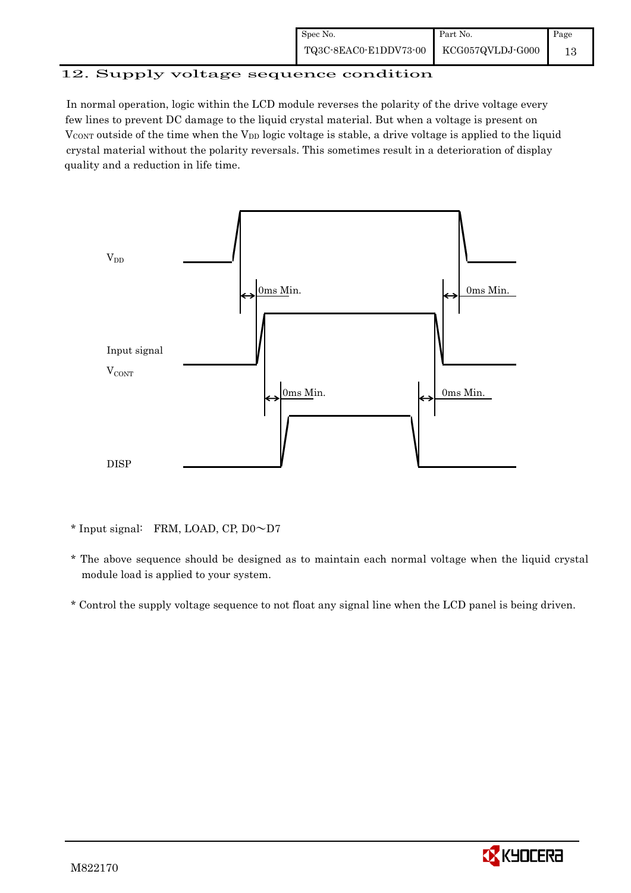| Spec No.              | Part No.         | Page |
|-----------------------|------------------|------|
| TQ3C-8EAC0-E1DDV73-00 | KCG057QVLDJ-G000 |      |

## 12. Supply voltage sequence condition

 In normal operation, logic within the LCD module reverses the polarity of the drive voltage every few lines to prevent DC damage to the liquid crystal material. But when a voltage is present on  $V_{\text{CONT}}$  outside of the time when the  $V_{\text{DD}}$  logic voltage is stable, a drive voltage is applied to the liquid crystal material without the polarity reversals. This sometimes result in a deterioration of display quality and a reduction in life time.



\* Input signal: FRM, LOAD, CP, D0~D7

- \* The above sequence should be designed as to maintain each normal voltage when the liquid crystal module load is applied to your system.
- \* Control the supply voltage sequence to not float any signal line when the LCD panel is being driven.

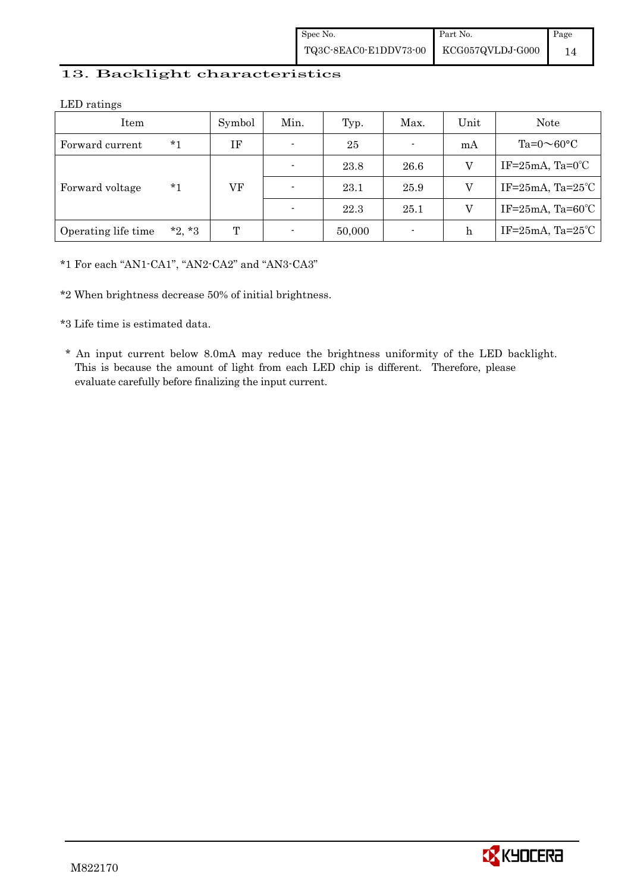## 13. Backlight characteristics

LED ratings

| Item                |          | Symbol | Min.                     | Typ.   | Max. | Unit           | Note                            |      |   |                                 |
|---------------------|----------|--------|--------------------------|--------|------|----------------|---------------------------------|------|---|---------------------------------|
| Forward current     | $*1$     | ΙF     | $\blacksquare$           | 25     |      | mA             | Ta= $0 \sim 60$ °C              |      |   |                                 |
| Forward voltage     | *1       |        | $\blacksquare$           | 23.8   | 26.6 | V              | IF= $25mA$ , Ta= $0^{\circ}$ C  |      |   |                                 |
|                     |          |        |                          |        | VF   | $\blacksquare$ | 23.1                            | 25.9 | V | IF= $25mA$ , Ta= $25^{\circ}$ C |
|                     |          |        | $\overline{\phantom{a}}$ | 22.3   | 25.1 | V              | IF= $25mA$ , Ta= $60^{\circ}$ C |      |   |                                 |
| Operating life time | $*2, *3$ | T      | $\overline{\phantom{a}}$ | 50,000 |      | $\mathbf h$    | IF= $25mA$ , Ta= $25^{\circ}$ C |      |   |                                 |

\*1 For each "AN1-CA1", "AN2-CA2" and "AN3-CA3"

\*2 When brightness decrease 50% of initial brightness.

\*3 Life time is estimated data.

 \* An input current below 8.0mA may reduce the brightness uniformity of the LED backlight. This is because the amount of light from each LED chip is different. Therefore, please evaluate carefully before finalizing the input current.

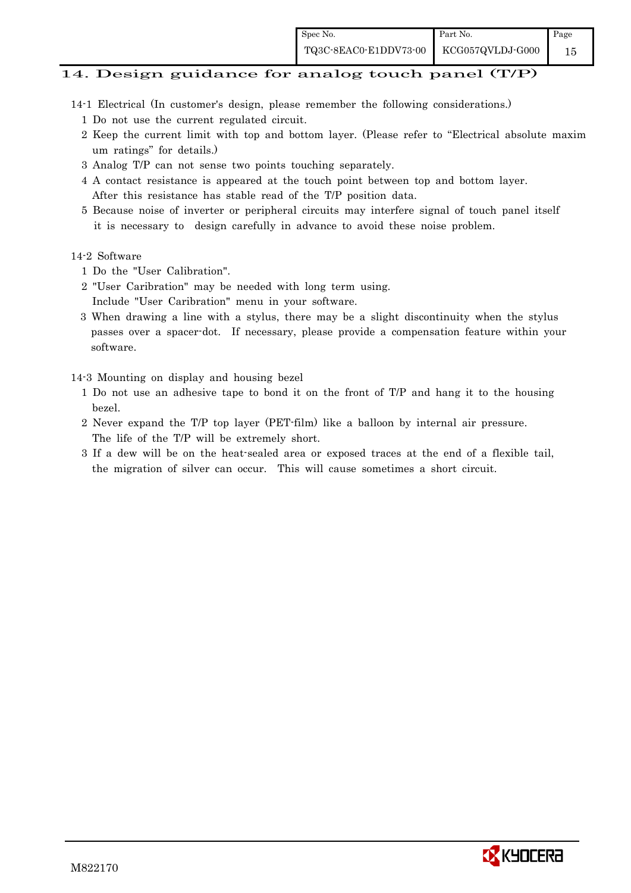## 14. Design guidance for analog touch panel (T/P)

- 14-1 Electrical (In customer's design, please remember the following considerations.)
	- 1 Do not use the current regulated circuit.
	- 2 Keep the current limit with top and bottom layer. (Please refer to "Electrical absolute maxim um ratings" for details.)
	- 3 Analog T/P can not sense two points touching separately.
	- 4 A contact resistance is appeared at the touch point between top and bottom layer. After this resistance has stable read of the T/P position data.
	- 5 Because noise of inverter or peripheral circuits may interfere signal of touch panel itself it is necessary to design carefully in advance to avoid these noise problem.

#### 14-2 Software

- 1 Do the "User Calibration".
- 2 "User Caribration" may be needed with long term using.
- Include "User Caribration" menu in your software.
- 3 When drawing a line with a stylus, there may be a slight discontinuity when the stylus passes over a spacer-dot. If necessary, please provide a compensation feature within your software.

14-3 Mounting on display and housing bezel

- 1 Do not use an adhesive tape to bond it on the front of T/P and hang it to the housing bezel.
- 2 Never expand the T/P top layer (PET-film) like a balloon by internal air pressure. The life of the T/P will be extremely short.
- 3 If a dew will be on the heat-sealed area or exposed traces at the end of a flexible tail, the migration of silver can occur. This will cause sometimes a short circuit.

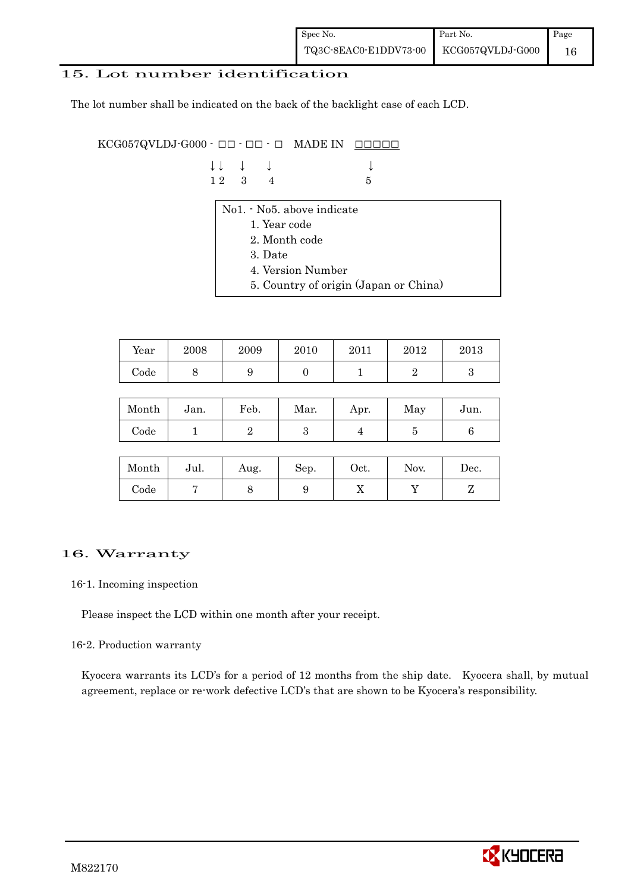| Spec No.                                                                                             | Part No. | Page |
|------------------------------------------------------------------------------------------------------|----------|------|
| $\begin{tabular}{c c c} \textbf{TQ3C-8EAC0-E1DDV73-00} & \textbf{KCG057QVLDJ-G000} \\ \end{tabular}$ |          | 16   |

## 15. Lot number identification

The lot number shall be indicated on the back of the backlight case of each LCD.

 $KCG057QVLDJ-G000 -  $\Box\Box$  -  $\Box\Box$  -  $\Box$  MADE IN  $\Box\Box\Box\Box\Box$$ 

|  | $\downarrow \downarrow \quad \downarrow \quad \downarrow$ |      |  |
|--|-----------------------------------------------------------|------|--|
|  | $12 \quad 3 \quad 4$                                      | $-5$ |  |

- No1. No5. above indicate
	- 1. Year code
	- 2. Month code
	- 3. Date
	- 4. Version Number
	- 5. Country of origin (Japan or China)

| Year | 2008 | 2009 | 2010 | 2011 | 2012 | 2013 |
|------|------|------|------|------|------|------|
| Code | ◡    |      |      |      |      |      |

| Month | Jan. | Feb. | Mar. | Apr. | May | Jun. |
|-------|------|------|------|------|-----|------|
| Code  |      |      | ౿    |      |     |      |

| Month      | Jul. | Aug. | Sep. | $\rm Oct.$ | Nov. | Dec. |
|------------|------|------|------|------------|------|------|
| $\rm Code$ |      |      | υ    | 77         |      |      |

## 16. Warranty

#### 16-1. Incoming inspection

Please inspect the LCD within one month after your receipt.

#### 16-2. Production warranty

 Kyocera warrants its LCD's for a period of 12 months from the ship date. Kyocera shall, by mutual agreement, replace or re-work defective LCD's that are shown to be Kyocera's responsibility.

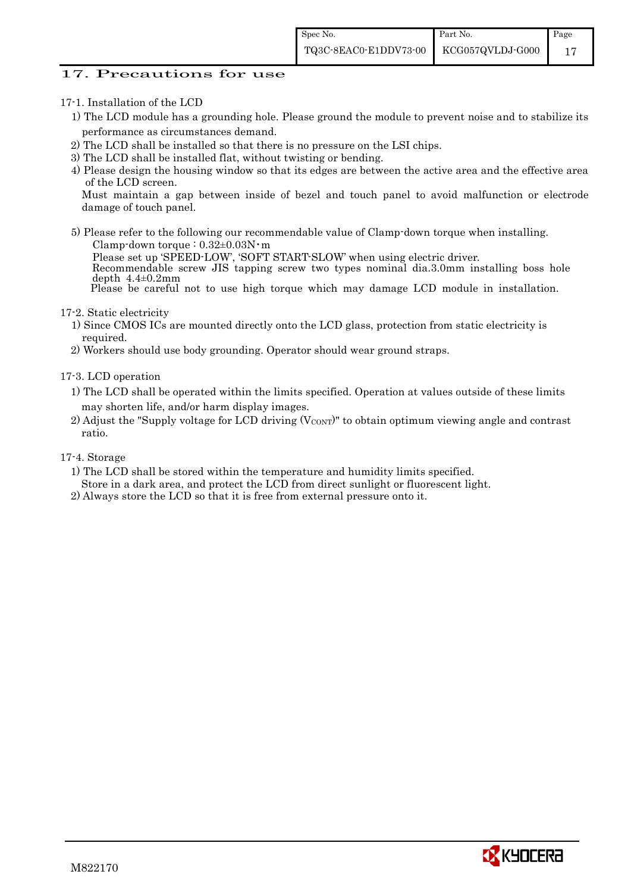## 17. Precautions for use

#### 17-1. Installation of the LCD

- 1) The LCD module has a grounding hole. Please ground the module to prevent noise and to stabilize its performance as circumstances demand.
- 2) The LCD shall be installed so that there is no pressure on the LSI chips.
- 3) The LCD shall be installed flat, without twisting or bending.
- 4) Please design the housing window so that its edges are between the active area and the effective area of the LCD screen.

Must maintain a gap between inside of bezel and touch panel to avoid malfunction or electrode damage of touch panel.

5) Please refer to the following our recommendable value of Clamp-down torque when installing. Clamp-down torque : 0.32±0.03N・m

 Please set up 'SPEED-LOW', 'SOFT START-SLOW' when using electric driver. Recommendable screw JIS tapping screw two types nominal dia.3.0mm installing boss hole depth  $4.4\pm0.2$ mm

Please be careful not to use high torque which may damage LCD module in installation.

#### 17-2. Static electricity

- 1) Since CMOS ICs are mounted directly onto the LCD glass, protection from static electricity is required.
- 2) Workers should use body grounding. Operator should wear ground straps.

#### 17-3. LCD operation

- 1) The LCD shall be operated within the limits specified. Operation at values outside of these limits may shorten life, and/or harm display images.
- 2) Adjust the "Supply voltage for LCD driving  $(V_{\text{CONT}})$ " to obtain optimum viewing angle and contrast ratio.

#### 17-4. Storage

- 1) The LCD shall be stored within the temperature and humidity limits specified.
- Store in a dark area, and protect the LCD from direct sunlight or fluorescent light.
- 2) Always store the LCD so that it is free from external pressure onto it.

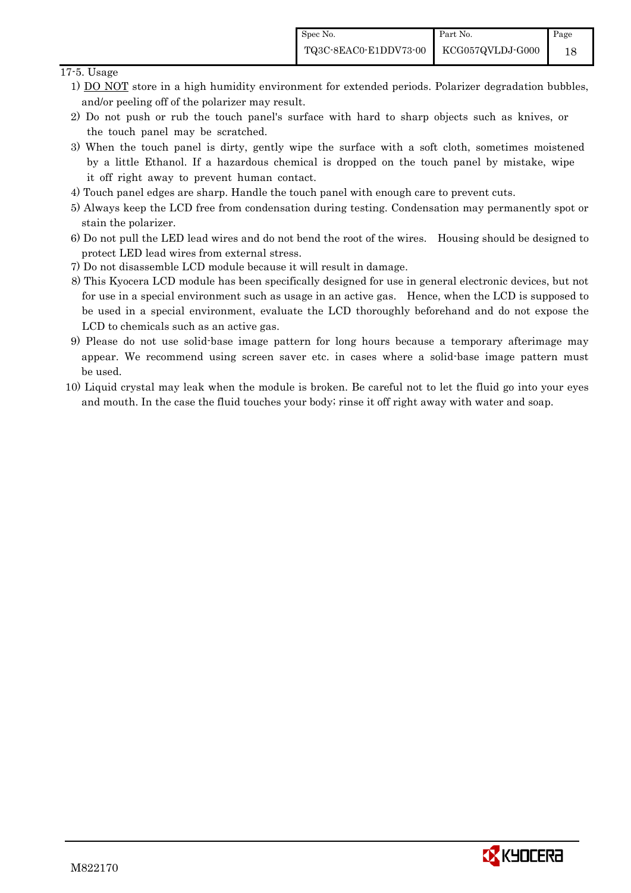## 17-5. Usage

- 1) DO NOT store in a high humidity environment for extended periods. Polarizer degradation bubbles, and/or peeling off of the polarizer may result.
- 2) Do not push or rub the touch panel's surface with hard to sharp objects such as knives, or the touch panel may be scratched.
- 3) When the touch panel is dirty, gently wipe the surface with a soft cloth, sometimes moistened by a little Ethanol. If a hazardous chemical is dropped on the touch panel by mistake, wipe it off right away to prevent human contact.
- 4) Touch panel edges are sharp. Handle the touch panel with enough care to prevent cuts.
- 5) Always keep the LCD free from condensation during testing. Condensation may permanently spot or stain the polarizer.
- 6) Do not pull the LED lead wires and do not bend the root of the wires. Housing should be designed to protect LED lead wires from external stress.
- 7) Do not disassemble LCD module because it will result in damage.
- 8) This Kyocera LCD module has been specifically designed for use in general electronic devices, but not for use in a special environment such as usage in an active gas. Hence, when the LCD is supposed to be used in a special environment, evaluate the LCD thoroughly beforehand and do not expose the LCD to chemicals such as an active gas.
- 9) Please do not use solid-base image pattern for long hours because a temporary afterimage may appear. We recommend using screen saver etc. in cases where a solid-base image pattern must be used.
- 10) Liquid crystal may leak when the module is broken. Be careful not to let the fluid go into your eyes and mouth. In the case the fluid touches your body; rinse it off right away with water and soap.

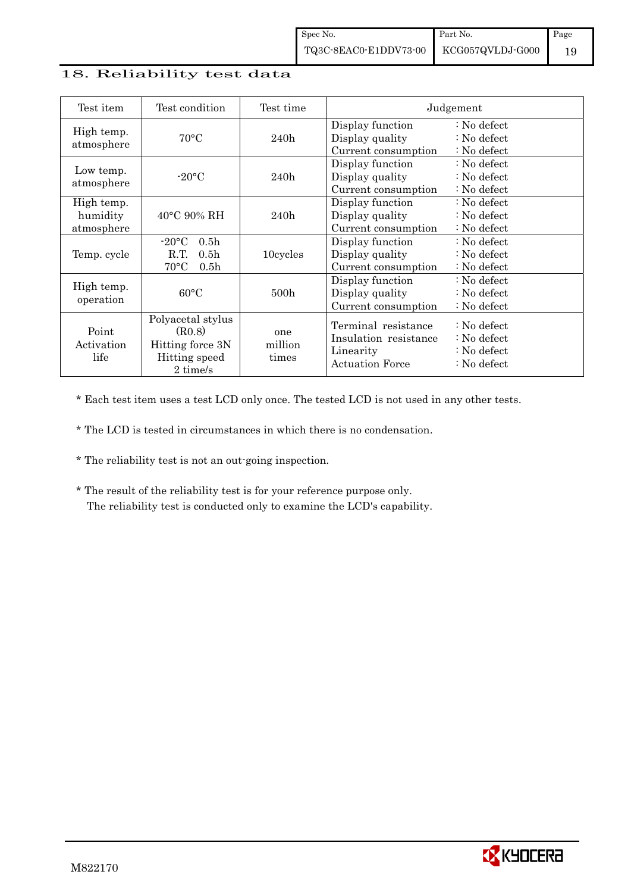## 18. Reliability test data

| Test item                            | Test condition                                                                                       | Test time               |                                                                                     | Judgement                                                                                            |
|--------------------------------------|------------------------------------------------------------------------------------------------------|-------------------------|-------------------------------------------------------------------------------------|------------------------------------------------------------------------------------------------------|
| High temp.<br>atmosphere             | $70^{\circ}$ C                                                                                       | 240h                    | Display function<br>Display quality<br>Current consumption                          | $: No$ defect<br>: No defect<br>$\therefore$ No defect                                               |
| Low temp.<br>atmosphere              | $-20$ °C                                                                                             | 240h                    | Display function<br>Display quality<br>Current consumption                          | $\therefore$ No defect<br>$\therefore$ No defect<br>$\therefore$ No defect                           |
| High temp.<br>humidity<br>atmosphere | $40^{\circ}$ C 90% RH                                                                                | 240h                    | Display function<br>Display quality<br>Current consumption                          | $\therefore$ No defect<br>$\therefore$ No defect<br>$\therefore$ No defect                           |
| Temp. cycle                          | $-20\degree C$<br>0.5 <sub>h</sub><br>R.T.<br>0.5 <sub>h</sub><br>$70^{\circ}$ C<br>0.5 <sub>h</sub> | 10cycles                | Display function<br>Display quality<br>Current consumption                          | $\therefore$ No defect<br>$\therefore$ No defect<br>: No defect                                      |
| High temp.<br>operation              | $60^{\circ}$ C                                                                                       | 500 <sub>h</sub>        | Display function<br>Display quality<br>Current consumption                          | $\therefore$ No defect<br>$\therefore$ No defect<br>: No defect                                      |
| Point<br>Activation<br>life          | Polyacetal stylus<br>(R0.8)<br>Hitting force 3N<br>Hitting speed<br>2 time/s                         | one<br>million<br>times | Terminal resistance<br>Insulation resistance<br>Linearity<br><b>Actuation Force</b> | $\therefore$ No defect<br>$\therefore$ No defect<br>$\therefore$ No defect<br>$\therefore$ No defect |

\* Each test item uses a test LCD only once. The tested LCD is not used in any other tests.

\* The LCD is tested in circumstances in which there is no condensation.

- \* The reliability test is not an out-going inspection.
- \* The result of the reliability test is for your reference purpose only. The reliability test is conducted only to examine the LCD's capability.

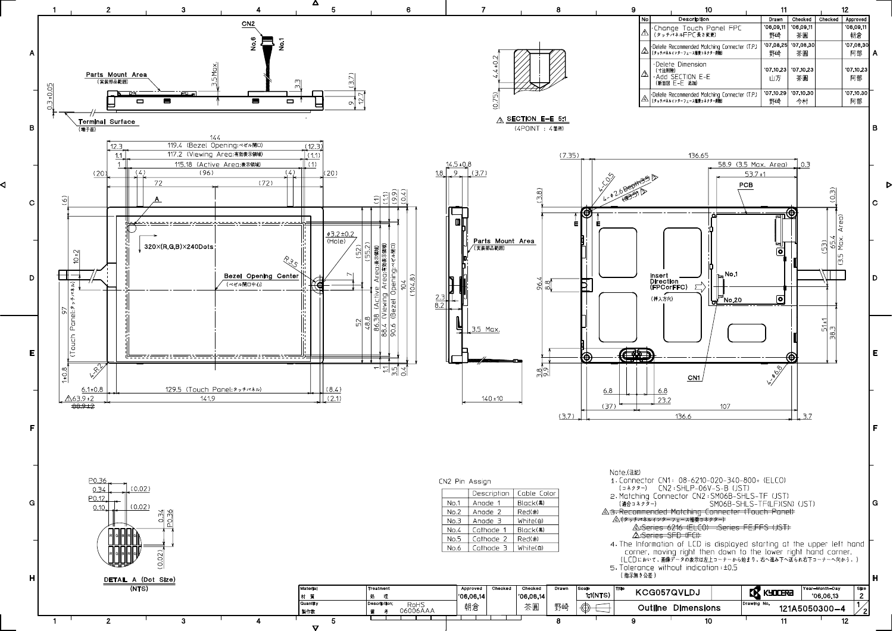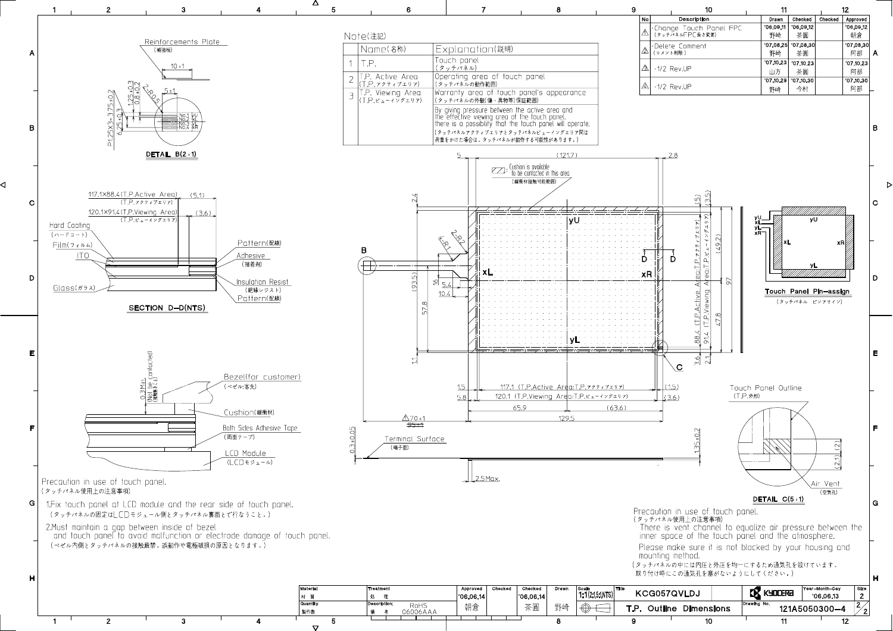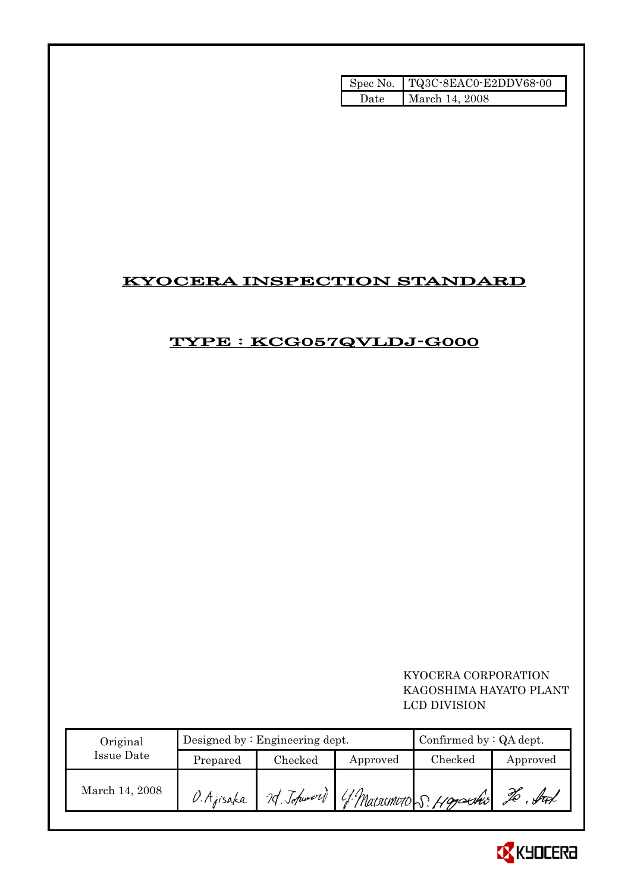|      | Spec No. TQ3C-8EAC0-E2DDV68-00 |
|------|--------------------------------|
| Date | March 14, 2008                 |

## KYOCERA INSPECTION STANDARD

## TYPE : KCG057QVLDJ-G000

 KYOCERA CORPORATION KAGOSHIMA HAYATO PLANT LCD DIVISION

| Original       |            | Designed by $:$ Engineering dept. |          | Confirmed by $:QA$ dept.             |                                          |  |
|----------------|------------|-----------------------------------|----------|--------------------------------------|------------------------------------------|--|
| Issue Date     | Prepared   | Checked                           | Approved | Checked                              | Approved                                 |  |
| March 14, 2008 | D. Ajisaka |                                   |          | 7d Johnson) 4 Marsonoto S. Hagarshis | $\mathscr{Z}\!\!\mathscr{E}$<br>$.$ ftof |  |

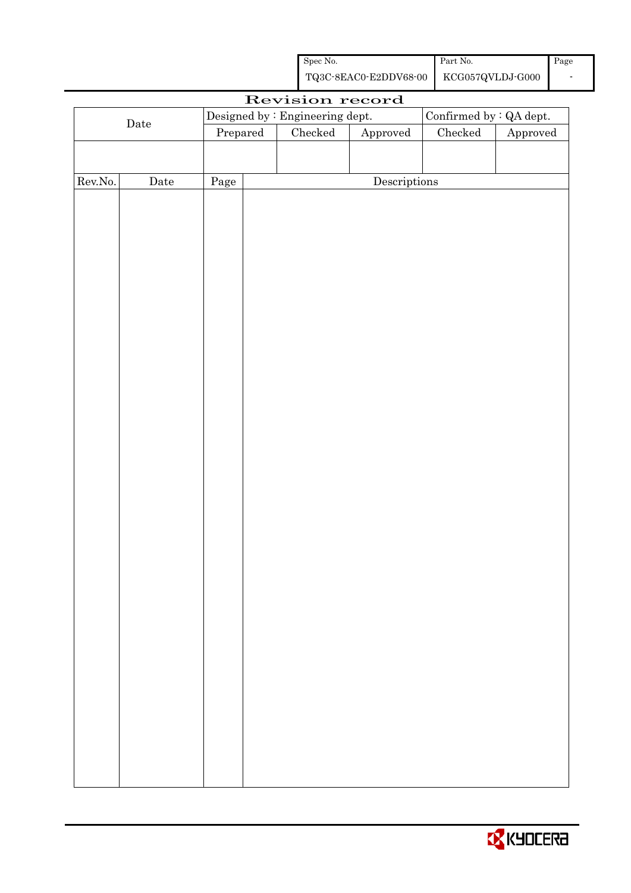| Spec No.              | Part No.         | $\Box$ Page |
|-----------------------|------------------|-------------|
| TQ3C-8EAC0-E2DDV68-00 | KCG057QVLDJ-G000 |             |

| Revision record |                      |          |  |                                 |                        |                         |          |
|-----------------|----------------------|----------|--|---------------------------------|------------------------|-------------------------|----------|
|                 |                      |          |  | Designed by : Engineering dept. |                        | Confirmed by : QA dept. |          |
|                 | $\rm{\textbf{Date}}$ | Prepared |  | Checked                         | ${\Large\bf Approved}$ | $\rm Checked$           | Approved |
|                 |                      |          |  |                                 |                        |                         |          |
|                 |                      |          |  |                                 |                        |                         |          |
| Rev.No.         | $\rm{Date}$          | Page     |  |                                 | Descriptions           |                         |          |
|                 |                      |          |  |                                 |                        |                         |          |
|                 |                      |          |  |                                 |                        |                         |          |
|                 |                      |          |  |                                 |                        |                         |          |
|                 |                      |          |  |                                 |                        |                         |          |
|                 |                      |          |  |                                 |                        |                         |          |
|                 |                      |          |  |                                 |                        |                         |          |
|                 |                      |          |  |                                 |                        |                         |          |
|                 |                      |          |  |                                 |                        |                         |          |
|                 |                      |          |  |                                 |                        |                         |          |
|                 |                      |          |  |                                 |                        |                         |          |
|                 |                      |          |  |                                 |                        |                         |          |
|                 |                      |          |  |                                 |                        |                         |          |
|                 |                      |          |  |                                 |                        |                         |          |
|                 |                      |          |  |                                 |                        |                         |          |
|                 |                      |          |  |                                 |                        |                         |          |
|                 |                      |          |  |                                 |                        |                         |          |
|                 |                      |          |  |                                 |                        |                         |          |
|                 |                      |          |  |                                 |                        |                         |          |
|                 |                      |          |  |                                 |                        |                         |          |
|                 |                      |          |  |                                 |                        |                         |          |
|                 |                      |          |  |                                 |                        |                         |          |
|                 |                      |          |  |                                 |                        |                         |          |
|                 |                      |          |  |                                 |                        |                         |          |
|                 |                      |          |  |                                 |                        |                         |          |
|                 |                      |          |  |                                 |                        |                         |          |
|                 |                      |          |  |                                 |                        |                         |          |
|                 |                      |          |  |                                 |                        |                         |          |
|                 |                      |          |  |                                 |                        |                         |          |
|                 |                      |          |  |                                 |                        |                         |          |
|                 |                      |          |  |                                 |                        |                         |          |
|                 |                      |          |  |                                 |                        |                         |          |
|                 |                      |          |  |                                 |                        |                         |          |
|                 |                      |          |  |                                 |                        |                         |          |
|                 |                      |          |  |                                 |                        |                         |          |
|                 |                      |          |  |                                 |                        |                         |          |

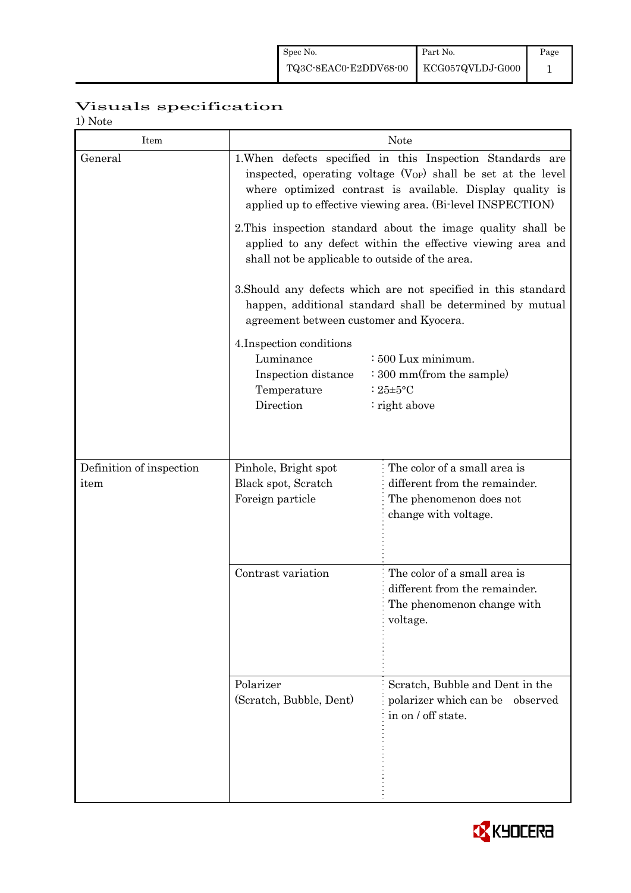## Visuals specification

1) Note

| Item                     |                                                                                                                                                                                                                                                                     | <b>Note</b>                                                                                                                 |  |  |  |  |  |
|--------------------------|---------------------------------------------------------------------------------------------------------------------------------------------------------------------------------------------------------------------------------------------------------------------|-----------------------------------------------------------------------------------------------------------------------------|--|--|--|--|--|
| General                  | 1. When defects specified in this Inspection Standards are<br>inspected, operating voltage (V <sub>OP</sub> ) shall be set at the level<br>where optimized contrast is available. Display quality is<br>applied up to effective viewing area. (Bi-level INSPECTION) |                                                                                                                             |  |  |  |  |  |
|                          | 2. This inspection standard about the image quality shall be<br>applied to any defect within the effective viewing area and<br>shall not be applicable to outside of the area.                                                                                      |                                                                                                                             |  |  |  |  |  |
|                          | agreement between customer and Kyocera.                                                                                                                                                                                                                             | 3. Should any defects which are not specified in this standard<br>happen, additional standard shall be determined by mutual |  |  |  |  |  |
|                          | 4. Inspection conditions<br>Luminance<br>: 500 Lux minimum.<br>: 300 mm(from the sample)<br>Inspection distance<br>Temperature<br>: $25 \pm 5$ °C<br>Direction<br>: right above                                                                                     |                                                                                                                             |  |  |  |  |  |
| Definition of inspection | Pinhole, Bright spot                                                                                                                                                                                                                                                | The color of a small area is                                                                                                |  |  |  |  |  |
| item                     | Black spot, Scratch<br>Foreign particle                                                                                                                                                                                                                             | different from the remainder.<br>The phenomenon does not<br>change with voltage.                                            |  |  |  |  |  |
|                          | Contrast variation                                                                                                                                                                                                                                                  | The color of a small area is<br>different from the remainder.<br>The phenomenon change with<br>voltage.                     |  |  |  |  |  |
|                          | Polarizer<br>(Scratch, Bubble, Dent)                                                                                                                                                                                                                                | Scratch, Bubble and Dent in the<br>polarizer which can be observed<br>in on / off state.                                    |  |  |  |  |  |

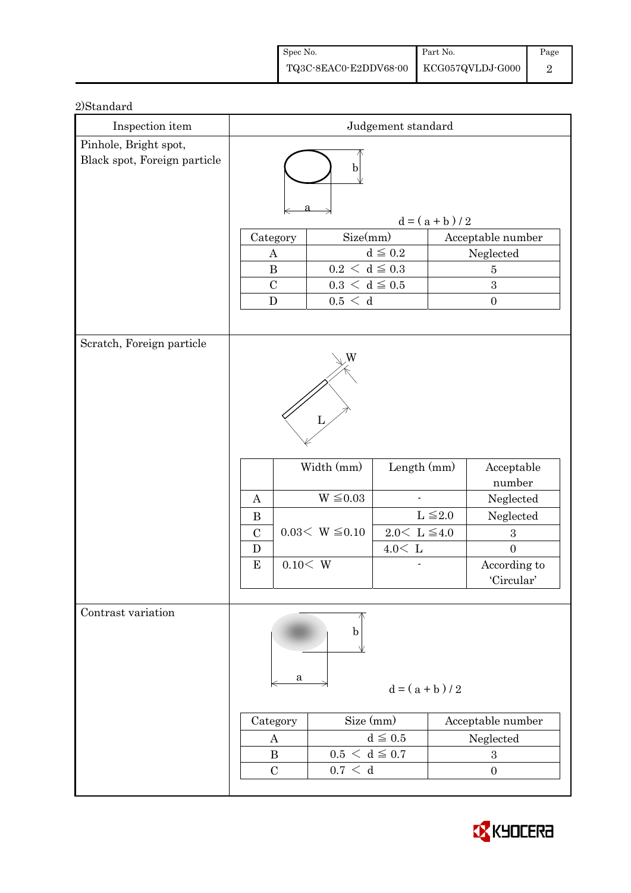| Spec No.                               | Part No. | Page |
|----------------------------------------|----------|------|
| TQ3C-8EAC0-E2DDV68-00 KCG057QVLDJ-G000 |          |      |

| Inspection item                                       | Judgement standard                           |          |                                                            |                         |                   |                                |
|-------------------------------------------------------|----------------------------------------------|----------|------------------------------------------------------------|-------------------------|-------------------|--------------------------------|
| Pinhole, Bright spot,<br>Black spot, Foreign particle | $\mathbf b$                                  |          |                                                            |                         |                   |                                |
|                                                       | $d = (a + b)/2$                              |          |                                                            |                         |                   |                                |
|                                                       | Category                                     |          | Size(mm)                                                   |                         |                   | Acceptable number              |
|                                                       | $\boldsymbol{A}$                             |          | $d\leqq0.2$                                                |                         |                   | Neglected                      |
|                                                       | $\, {\bf B}$<br>$\mathcal{C}$                |          | $0.2\,<\,\mathrm{d}\leq0.3$<br>$0.3\,<\,\mathrm{d}\leq0.5$ |                         |                   | $\bf 5$<br>$\sqrt{3}$          |
|                                                       | ${\bf D}$                                    |          | 0.5 < d                                                    |                         | $\boldsymbol{0}$  |                                |
|                                                       |                                              |          |                                                            |                         |                   |                                |
| Scratch, Foreign particle                             |                                              |          |                                                            |                         |                   |                                |
|                                                       |                                              |          |                                                            |                         |                   |                                |
|                                                       |                                              |          | Width (mm)                                                 | Length (mm)             |                   | Acceptable<br>number           |
|                                                       | $\mathbf{A}$                                 |          | $W \leq 0.03$                                              |                         |                   | Neglected                      |
|                                                       | $\bf{B}$                                     |          |                                                            |                         | $L \leq 2.0$      | Neglected                      |
|                                                       | $\mathcal{C}$                                |          | $0.03< W \leq 0.10$                                        | $2.0<\,$ L $\leqq\!4.0$ |                   | $\boldsymbol{3}$               |
|                                                       | $\mathbf D$<br>${\bf E}$                     | 0.10 < W |                                                            | $4.0<\,$ L              |                   | $\overline{0}$<br>According to |
|                                                       |                                              |          |                                                            |                         |                   | 'Circular'                     |
|                                                       |                                              |          |                                                            |                         |                   |                                |
| Contrast variation                                    |                                              | a        | b                                                          | $d = (a + b)/2$         |                   |                                |
|                                                       | Category<br>$\boldsymbol{A}$<br>$\bf{B}$     |          | Size (mm)                                                  |                         | Acceptable number |                                |
|                                                       |                                              |          | $d \leqq 0.5$<br>$0.5 < d \leq 0.7$                        |                         | Neglected         |                                |
|                                                       |                                              |          |                                                            |                         | $\boldsymbol{3}$  |                                |
|                                                       | 0.7 < d<br>$\mathcal{C}$<br>$\boldsymbol{0}$ |          |                                                            |                         |                   |                                |

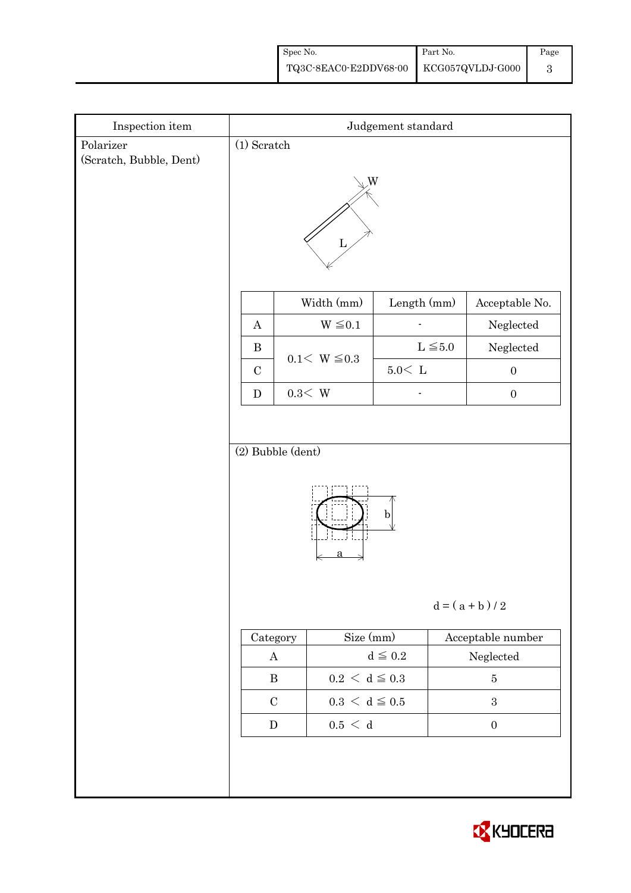| Spec No.                               | Part No. | Page |
|----------------------------------------|----------|------|
| TQ3C-8EAC0-E2DDV68-00 KCG057QVLDJ-G000 |          |      |

| Inspection item                      | Judgement standard    |                             |              |                   |  |  |
|--------------------------------------|-----------------------|-----------------------------|--------------|-------------------|--|--|
| Polarizer<br>(Scratch, Bubble, Dent) | $(1)$ Scratch         |                             |              |                   |  |  |
|                                      | W                     |                             |              |                   |  |  |
|                                      |                       | Width (mm)                  | Length (mm)  | Acceptable No.    |  |  |
|                                      | $\boldsymbol{A}$      | $W \leq 0.1$                |              | Neglected         |  |  |
|                                      | $\, {\bf B}$          | $0.1 < W \le 0.3$           | $L \leq 5.0$ | Neglected         |  |  |
|                                      | $\mathbf C$           |                             | 5.0< L       | $\boldsymbol{0}$  |  |  |
|                                      | ${\bf D}$             | $0.3<\,$ W                  |              | $\boldsymbol{0}$  |  |  |
|                                      |                       |                             |              |                   |  |  |
|                                      | (2) Bubble (dent)     |                             |              |                   |  |  |
|                                      | b <br>$d = (a + b)/2$ |                             |              |                   |  |  |
|                                      | Category              | Size (mm)                   |              | Acceptable number |  |  |
|                                      | $\bf{A}$              |                             | $d\leqq0.2$  | ${\bf Neglected}$ |  |  |
|                                      | $\, {\bf B}$          | $0.2\,<\,\mathrm{d}\leq0.3$ |              | $\bf 5$           |  |  |
|                                      | $\mathbf C$           | $0.3 \, \leq \, d \leq 0.5$ |              | $\sqrt{3}$        |  |  |
|                                      | ${\bf D}$             | $0.5\,<\,$ d                |              | $\boldsymbol{0}$  |  |  |
|                                      |                       |                             |              |                   |  |  |